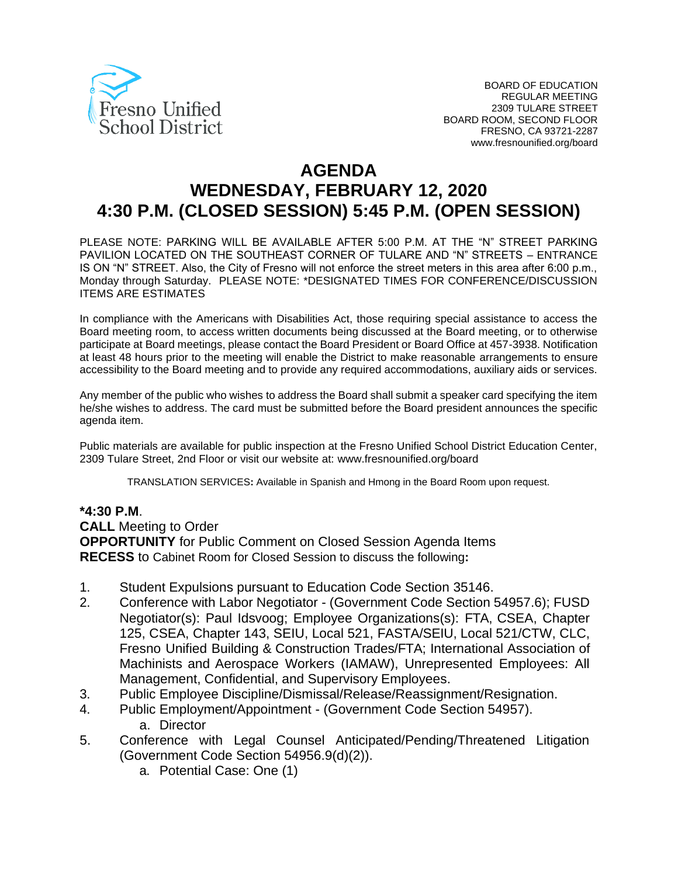

# **AGENDA WEDNESDAY, FEBRUARY 12, 2020 4:30 P.M. (CLOSED SESSION) 5:45 P.M. (OPEN SESSION)**

PLEASE NOTE: PARKING WILL BE AVAILABLE AFTER 5:00 P.M. AT THE "N" STREET PARKING PAVILION LOCATED ON THE SOUTHEAST CORNER OF TULARE AND "N" STREETS – ENTRANCE IS ON "N" STREET. Also, the City of Fresno will not enforce the street meters in this area after 6:00 p.m., Monday through Saturday. PLEASE NOTE: \*DESIGNATED TIMES FOR CONFERENCE/DISCUSSION ITEMS ARE ESTIMATES

In compliance with the Americans with Disabilities Act, those requiring special assistance to access the Board meeting room, to access written documents being discussed at the Board meeting, or to otherwise participate at Board meetings, please contact the Board President or Board Office at 457-3938. Notification at least 48 hours prior to the meeting will enable the District to make reasonable arrangements to ensure accessibility to the Board meeting and to provide any required accommodations, auxiliary aids or services.

Any member of the public who wishes to address the Board shall submit a speaker card specifying the item he/she wishes to address. The card must be submitted before the Board president announces the specific agenda item.

Public materials are available for public inspection at the Fresno Unified School District Education Center, 2309 Tulare Street, 2nd Floor or visit our website at: www.fresnounified.org/board

TRANSLATION SERVICES**:** Available in Spanish and Hmong in the Board Room upon request.

#### **\*4:30 P.M**.

**CALL** Meeting to Order **OPPORTUNITY** for Public Comment on Closed Session Agenda Items

**RECESS** to Cabinet Room for Closed Session to discuss the following**:**

- 1. Student Expulsions pursuant to Education Code Section 35146.
- 2. Conference with Labor Negotiator (Government Code Section 54957.6); FUSD Negotiator(s): Paul Idsvoog; Employee Organizations(s): FTA, CSEA, Chapter 125, CSEA, Chapter 143, SEIU, Local 521, FASTA/SEIU, Local 521/CTW, CLC, Fresno Unified Building & Construction Trades/FTA; International Association of Machinists and Aerospace Workers (IAMAW), Unrepresented Employees: All Management, Confidential, and Supervisory Employees.
- 3. Public Employee Discipline/Dismissal/Release/Reassignment/Resignation.
- 4. Public Employment/Appointment (Government Code Section 54957). a. Director
- 5. Conference with Legal Counsel Anticipated/Pending/Threatened Litigation (Government Code Section 54956.9(d)(2)).
	- a. Potential Case: One (1)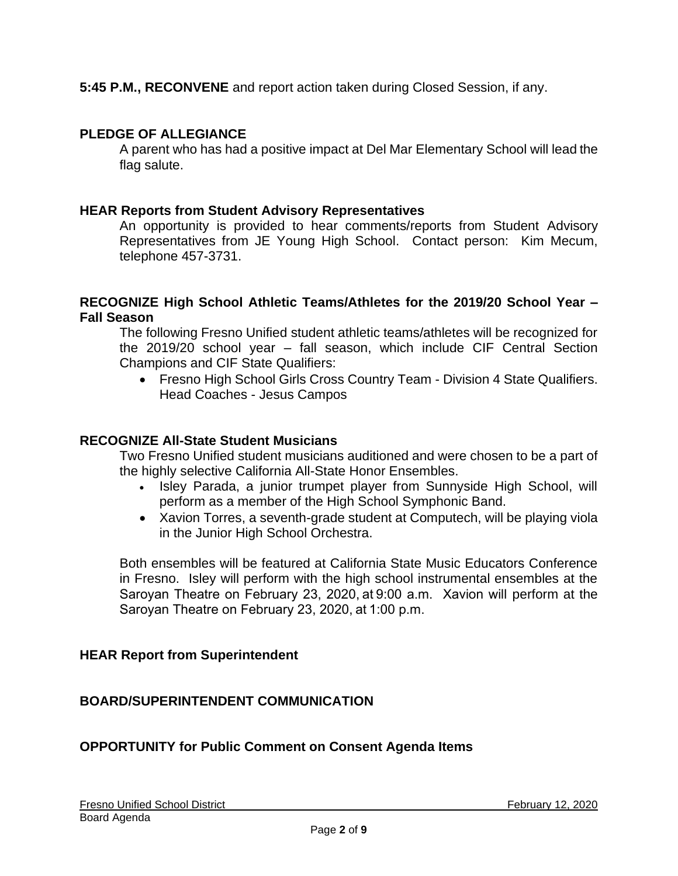**5:45 P.M., RECONVENE** and report action taken during Closed Session, if any.

# **PLEDGE OF ALLEGIANCE**

A parent who has had a positive impact at Del Mar Elementary School will lead the flag salute.

## **HEAR Reports from Student Advisory Representatives**

An opportunity is provided to hear comments/reports from Student Advisory Representatives from JE Young High School. Contact person: Kim Mecum, telephone 457-3731.

#### **RECOGNIZE High School Athletic Teams/Athletes for the 2019/20 School Year – Fall Season**

The following Fresno Unified student athletic teams/athletes will be recognized for the 2019/20 school year – fall season, which include CIF Central Section Champions and CIF State Qualifiers:

• Fresno High School Girls Cross Country Team - Division 4 State Qualifiers. Head Coaches - Jesus Campos

#### **RECOGNIZE All-State Student Musicians**

Two Fresno Unified student musicians auditioned and were chosen to be a part of the highly selective California All-State Honor Ensembles.

- Isley Parada, a junior trumpet player from Sunnyside High School, will perform as a member of the High School Symphonic Band.
- Xavion Torres, a seventh-grade student at Computech, will be playing viola in the Junior High School Orchestra.

Both ensembles will be featured at California State Music Educators Conference in Fresno. Isley will perform with the high school instrumental ensembles at the Saroyan Theatre on February 23, 2020, at 9:00 a.m. Xavion will perform at the Saroyan Theatre on February 23, 2020, at 1:00 p.m.

### **HEAR Report from Superintendent**

### **BOARD/SUPERINTENDENT COMMUNICATION**

### **OPPORTUNITY for Public Comment on Consent Agenda Items**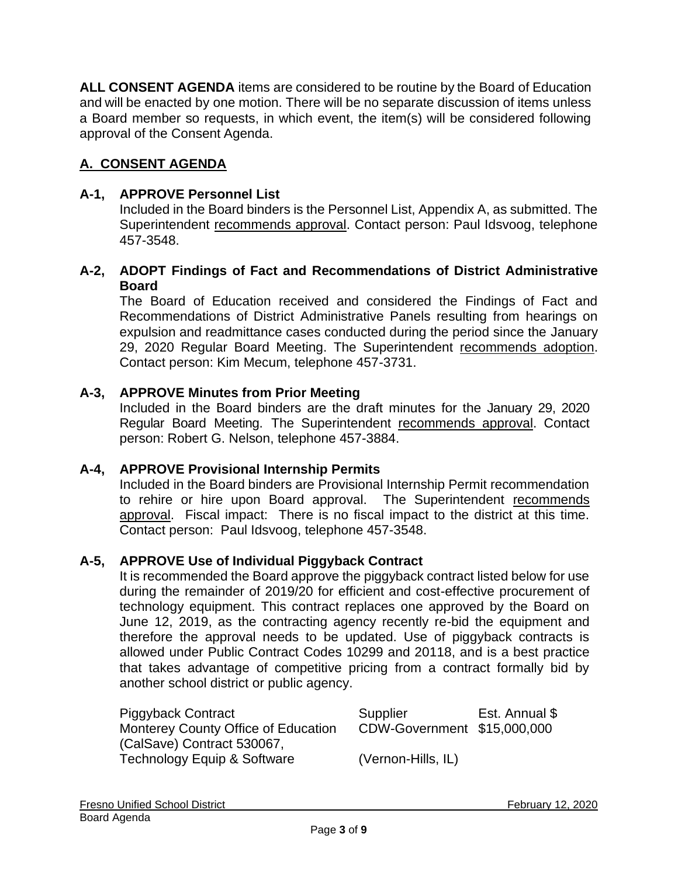**ALL CONSENT AGENDA** items are considered to be routine by the Board of Education and will be enacted by one motion. There will be no separate discussion of items unless a Board member so requests, in which event, the item(s) will be considered following approval of the Consent Agenda.

# **A. CONSENT AGENDA**

#### **A-1, APPROVE Personnel List**

Included in the Board binders is the Personnel List, Appendix A, as submitted. The Superintendent recommends approval. Contact person: Paul Idsvoog, telephone 457-3548.

#### **A-2, ADOPT Findings of Fact and Recommendations of District Administrative Board**

The Board of Education received and considered the Findings of Fact and Recommendations of District Administrative Panels resulting from hearings on expulsion and readmittance cases conducted during the period since the January 29, 2020 Regular Board Meeting. The Superintendent recommends adoption. Contact person: Kim Mecum, telephone 457-3731.

#### **A-3, APPROVE Minutes from Prior Meeting**

Included in the Board binders are the draft minutes for the January 29, 2020 Regular Board Meeting. The Superintendent recommends approval. Contact person: Robert G. Nelson, telephone 457-3884.

#### **A-4, APPROVE Provisional Internship Permits**

Included in the Board binders are Provisional Internship Permit recommendation to rehire or hire upon Board approval. The Superintendent recommends approval. Fiscal impact: There is no fiscal impact to the district at this time. Contact person: Paul Idsvoog, telephone 457-3548.

#### **A-5, APPROVE Use of Individual Piggyback Contract**

It is recommended the Board approve the piggyback contract listed below for use during the remainder of 2019/20 for efficient and cost-effective procurement of technology equipment. This contract replaces one approved by the Board on June 12, 2019, as the contracting agency recently re-bid the equipment and therefore the approval needs to be updated. Use of piggyback contracts is allowed under Public Contract Codes 10299 and 20118, and is a best practice that takes advantage of competitive pricing from a contract formally bid by another school district or public agency.

| Piggyback Contract                         | Supplier                    | Est. Annual \$ |
|--------------------------------------------|-----------------------------|----------------|
| <b>Monterey County Office of Education</b> | CDW-Government \$15,000,000 |                |
| (CalSave) Contract 530067,                 |                             |                |
| Technology Equip & Software                | (Vernon-Hills, IL)          |                |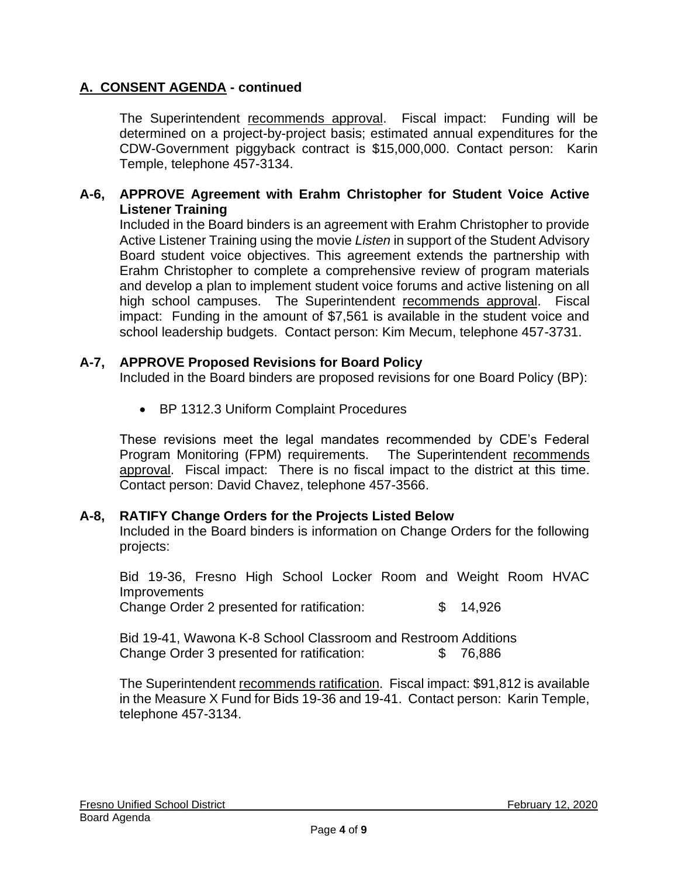# **A. CONSENT AGENDA - continued**

The Superintendent recommends approval. Fiscal impact: Funding will be determined on a project-by-project basis; estimated annual expenditures for the CDW-Government piggyback contract is \$15,000,000. Contact person: Karin Temple, telephone 457-3134.

#### **A-6, APPROVE Agreement with Erahm Christopher for Student Voice Active Listener Training**

Included in the Board binders is an agreement with Erahm Christopher to provide Active Listener Training using the movie *Listen* in support of the Student Advisory Board student voice objectives. This agreement extends the partnership with Erahm Christopher to complete a comprehensive review of program materials and develop a plan to implement student voice forums and active listening on all high school campuses. The Superintendent recommends approval. Fiscal impact: Funding in the amount of \$7,561 is available in the student voice and school leadership budgets. Contact person: Kim Mecum, telephone 457-3731.

#### **A-7, APPROVE Proposed Revisions for Board Policy**

Included in the Board binders are proposed revisions for one Board Policy (BP):

• BP 1312.3 Uniform Complaint Procedures

These revisions meet the legal mandates recommended by CDE's Federal Program Monitoring (FPM) requirements. The Superintendent recommends approval. Fiscal impact: There is no fiscal impact to the district at this time. Contact person: David Chavez, telephone 457-3566.

#### **A-8, RATIFY Change Orders for the Projects Listed Below**

Included in the Board binders is information on Change Orders for the following projects:

Bid 19-36, Fresno High School Locker Room and Weight Room HVAC **Improvements** 

Change Order 2 presented for ratification: \$ 14,926

Bid 19-41, Wawona K-8 School Classroom and Restroom Additions Change Order 3 presented for ratification: \$ 76,886

The Superintendent recommends ratification. Fiscal impact: \$91,812 is available in the Measure X Fund for Bids 19-36 and 19-41. Contact person: Karin Temple, telephone 457-3134.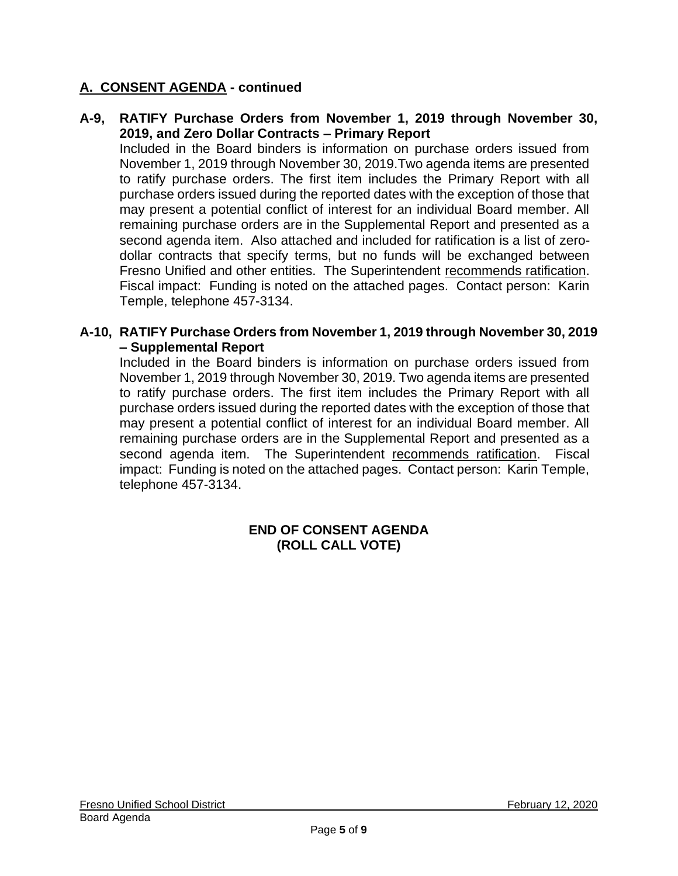# **A. CONSENT AGENDA - continued**

#### **A-9, RATIFY Purchase Orders from November 1, 2019 through November 30, 2019, and Zero Dollar Contracts – Primary Report**

Included in the Board binders is information on purchase orders issued from November 1, 2019 through November 30, 2019.Two agenda items are presented to ratify purchase orders. The first item includes the Primary Report with all purchase orders issued during the reported dates with the exception of those that may present a potential conflict of interest for an individual Board member. All remaining purchase orders are in the Supplemental Report and presented as a second agenda item. Also attached and included for ratification is a list of zerodollar contracts that specify terms, but no funds will be exchanged between Fresno Unified and other entities. The Superintendent recommends ratification. Fiscal impact: Funding is noted on the attached pages. Contact person: Karin Temple, telephone 457-3134.

#### **A-10, RATIFY Purchase Orders from November 1, 2019 through November 30, 2019 – Supplemental Report**

Included in the Board binders is information on purchase orders issued from November 1, 2019 through November 30, 2019. Two agenda items are presented to ratify purchase orders. The first item includes the Primary Report with all purchase orders issued during the reported dates with the exception of those that may present a potential conflict of interest for an individual Board member. All remaining purchase orders are in the Supplemental Report and presented as a second agenda item. The Superintendent recommends ratification. Fiscal impact: Funding is noted on the attached pages. Contact person: Karin Temple, telephone 457-3134.

#### **END OF CONSENT AGENDA (ROLL CALL VOTE)**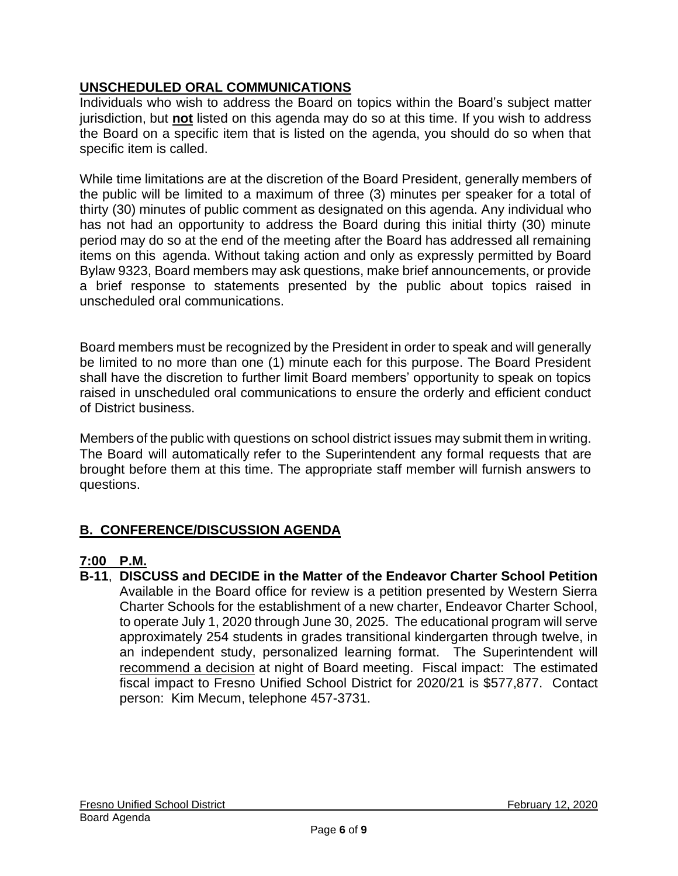# **UNSCHEDULED ORAL COMMUNICATIONS**

Individuals who wish to address the Board on topics within the Board's subject matter jurisdiction, but **not** listed on this agenda may do so at this time. If you wish to address the Board on a specific item that is listed on the agenda, you should do so when that specific item is called.

While time limitations are at the discretion of the Board President, generally members of the public will be limited to a maximum of three (3) minutes per speaker for a total of thirty (30) minutes of public comment as designated on this agenda. Any individual who has not had an opportunity to address the Board during this initial thirty (30) minute period may do so at the end of the meeting after the Board has addressed all remaining items on this agenda. Without taking action and only as expressly permitted by Board Bylaw 9323, Board members may ask questions, make brief announcements, or provide a brief response to statements presented by the public about topics raised in unscheduled oral communications.

Board members must be recognized by the President in order to speak and will generally be limited to no more than one (1) minute each for this purpose. The Board President shall have the discretion to further limit Board members' opportunity to speak on topics raised in unscheduled oral communications to ensure the orderly and efficient conduct of District business.

Members of the public with questions on school district issues may submit them in writing. The Board will automatically refer to the Superintendent any formal requests that are brought before them at this time. The appropriate staff member will furnish answers to questions.

# **B. CONFERENCE/DISCUSSION AGENDA**

# **7:00 P.M.**

**B-11**, **DISCUSS and DECIDE in the Matter of the Endeavor Charter School Petition** Available in the Board office for review is a petition presented by Western Sierra Charter Schools for the establishment of a new charter, Endeavor Charter School, to operate July 1, 2020 through June 30, 2025. The educational program will serve approximately 254 students in grades transitional kindergarten through twelve, in an independent study, personalized learning format. The Superintendent will recommend a decision at night of Board meeting. Fiscal impact: The estimated fiscal impact to Fresno Unified School District for 2020/21 is \$577,877. Contact person: Kim Mecum, telephone 457-3731.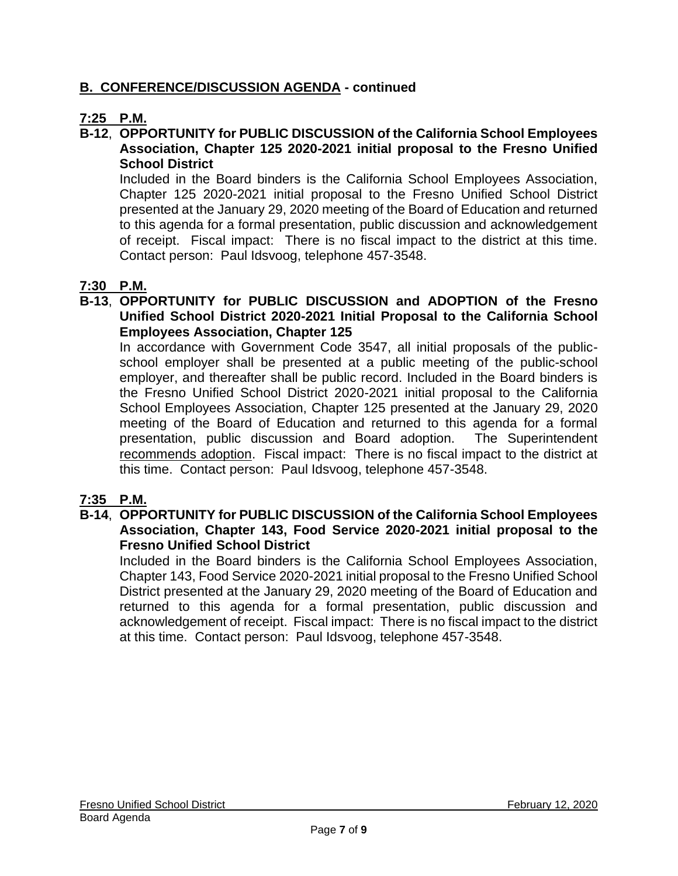# **B. CONFERENCE/DISCUSSION AGENDA - continued**

# **7:25 P.M.**

#### **B-12**, **OPPORTUNITY for PUBLIC DISCUSSION of the California School Employees Association, Chapter 125 2020-2021 initial proposal to the Fresno Unified School District**

Included in the Board binders is the California School Employees Association, Chapter 125 2020-2021 initial proposal to the Fresno Unified School District presented at the January 29, 2020 meeting of the Board of Education and returned to this agenda for a formal presentation, public discussion and acknowledgement of receipt. Fiscal impact: There is no fiscal impact to the district at this time. Contact person: Paul Idsvoog, telephone 457-3548.

# **7:30 P.M.**

**B-13**, **OPPORTUNITY for PUBLIC DISCUSSION and ADOPTION of the Fresno Unified School District 2020-2021 Initial Proposal to the California School Employees Association, Chapter 125**

In accordance with Government Code 3547, all initial proposals of the publicschool employer shall be presented at a public meeting of the public-school employer, and thereafter shall be public record. Included in the Board binders is the Fresno Unified School District 2020-2021 initial proposal to the California School Employees Association, Chapter 125 presented at the January 29, 2020 meeting of the Board of Education and returned to this agenda for a formal presentation, public discussion and Board adoption. The Superintendent recommends adoption. Fiscal impact: There is no fiscal impact to the district at this time. Contact person: Paul Idsvoog, telephone 457-3548.

### **7:35 P.M.**

#### **B-14**, **OPPORTUNITY for PUBLIC DISCUSSION of the California School Employees Association, Chapter 143, Food Service 2020-2021 initial proposal to the Fresno Unified School District**

Included in the Board binders is the California School Employees Association, Chapter 143, Food Service 2020-2021 initial proposal to the Fresno Unified School District presented at the January 29, 2020 meeting of the Board of Education and returned to this agenda for a formal presentation, public discussion and acknowledgement of receipt. Fiscal impact: There is no fiscal impact to the district at this time. Contact person: Paul Idsvoog, telephone 457-3548.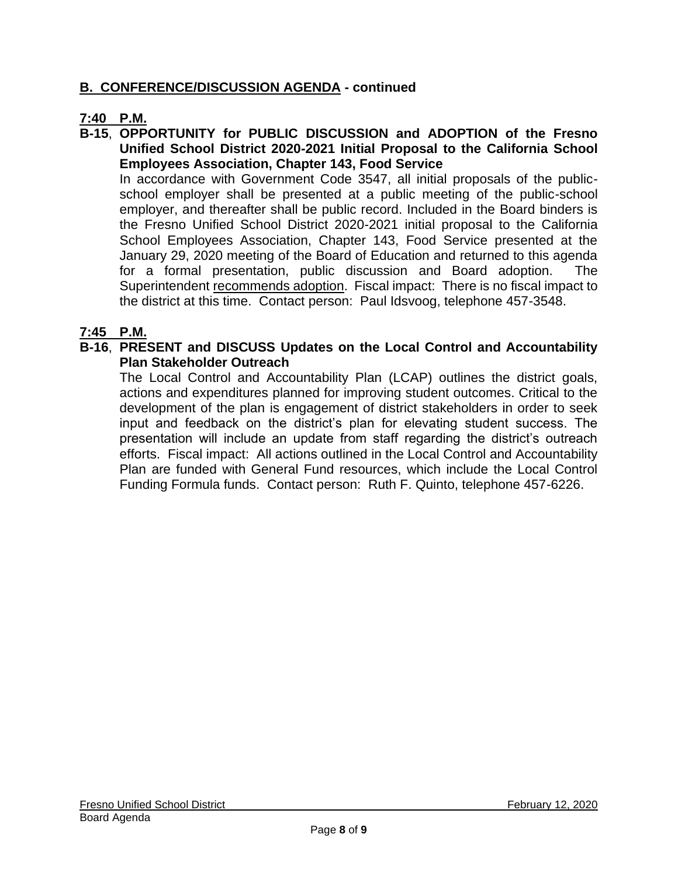# **B. CONFERENCE/DISCUSSION AGENDA - continued**

### **7:40 P.M.**

**B-15**, **OPPORTUNITY for PUBLIC DISCUSSION and ADOPTION of the Fresno Unified School District 2020-2021 Initial Proposal to the California School Employees Association, Chapter 143, Food Service**

In accordance with Government Code 3547, all initial proposals of the publicschool employer shall be presented at a public meeting of the public-school employer, and thereafter shall be public record. Included in the Board binders is the Fresno Unified School District 2020-2021 initial proposal to the California School Employees Association, Chapter 143, Food Service presented at the January 29, 2020 meeting of the Board of Education and returned to this agenda for a formal presentation, public discussion and Board adoption. The Superintendent recommends adoption. Fiscal impact: There is no fiscal impact to the district at this time. Contact person: Paul Idsvoog, telephone 457-3548.

#### **7:45 P.M.**

#### **B-16**, **PRESENT and DISCUSS Updates on the Local Control and Accountability Plan Stakeholder Outreach**

The Local Control and Accountability Plan (LCAP) outlines the district goals, actions and expenditures planned for improving student outcomes. Critical to the development of the plan is engagement of district stakeholders in order to seek input and feedback on the district's plan for elevating student success. The presentation will include an update from staff regarding the district's outreach efforts. Fiscal impact: All actions outlined in the Local Control and Accountability Plan are funded with General Fund resources, which include the Local Control Funding Formula funds. Contact person: Ruth F. Quinto, telephone 457-6226.